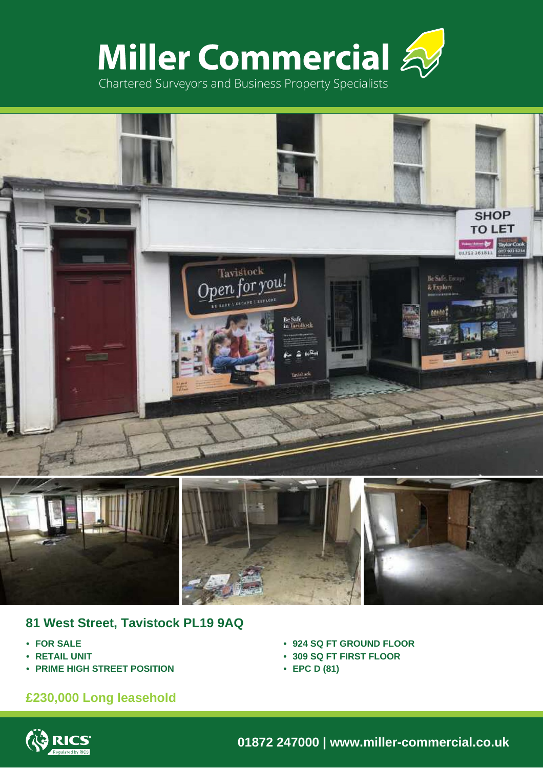



## **81 West Street, Tavistock PL19 9AQ**

- **• FOR SALE**
- **• RETAIL UNIT**
- **• PRIME HIGH STREET POSITION**

# **£230,000 Long leasehold**

- **• 924 SQ FT GROUND FLOOR**
- **• 309 SQ FT FIRST FLOOR**
- **• EPC D (81)**



**01872 247000 | www.miller-commercial.co.uk**